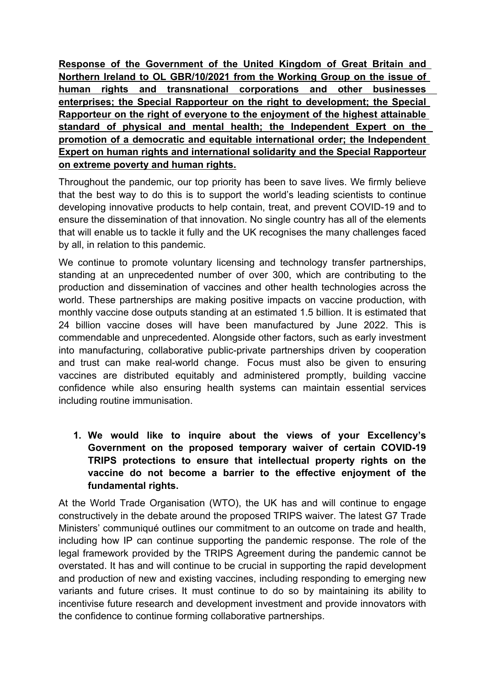**Response of the Government of the United Kingdom of Great Britain and Northern Ireland to OL GBR/10/2021 from the Working Group on the issue of human rights and transnational corporations and other businesses enterprises; the Special Rapporteur on the right to development; the Special Rapporteur on the right of everyone to the enjoyment of the highest attainable standard of physical and mental health; the Independent Expert on the promotion of <sup>a</sup> democratic and equitable international order; the Independent Expert on human rights and international solidarity and the Special Rapporteur on extreme poverty and human rights.**

Throughout the pandemic, our top priority has been to save lives. We firmly believe that the best way to do this is to support the world'<sup>s</sup> leading scientists to continue developing innovative products to help contain, treat, and prevent COVID-19 and to ensure the dissemination of that innovation. No single country has all of the elements that will enable us to tackle it fully and the UK recognises the many challenges faced by all, in relation to this pandemic.

We continue to promote voluntary licensing and technology transfer partnerships, standing at an unprecedented number of over 300, which are contributing to the production and dissemination of vaccines and other health technologies across the world. These partnerships are making positive impacts on vaccine production, with monthly vaccine dose outputs standing at an estimated 1.5 billion. It is estimated that 24 billion vaccine doses will have been manufactured by June 2022. This is commendable and unprecedented. Alongside other factors, such as early investment into manufacturing, collaborative public-private partnerships driven by cooperation and trust can make real-world change. Focus must also be given to ensuring vaccines are distributed equitably and administered promptly, building vaccine confidence while also ensuring health systems can maintain essential services including routine immunisation.

**1. We would like to inquire about the views of your Excellency'<sup>s</sup> Government on the proposed temporary waiver of certain COVID-19 TRIPS protections to ensure that intellectual property rights on the vaccine do not become <sup>a</sup> barrier to the effective enjoyment of the fundamental rights.**

At the World Trade Organisation (WTO), the UK has and will continue to engage constructively in the debate around the proposed TRIPS waiver. The latest G7 Trade Ministers' communiqué outlines our commitment to an outcome on trade and health, including how IP can continue supporting the pandemic response. The role of the legal framework provided by the TRIPS Agreement during the pandemic cannot be overstated. It has and will continue to be crucial in supporting the rapid development and production of new and existing vaccines, including responding to emerging new variants and future crises. It must continue to do so by maintaining its ability to incentivise future research and development investment and provide innovators with the confidence to continue forming collaborative partnerships.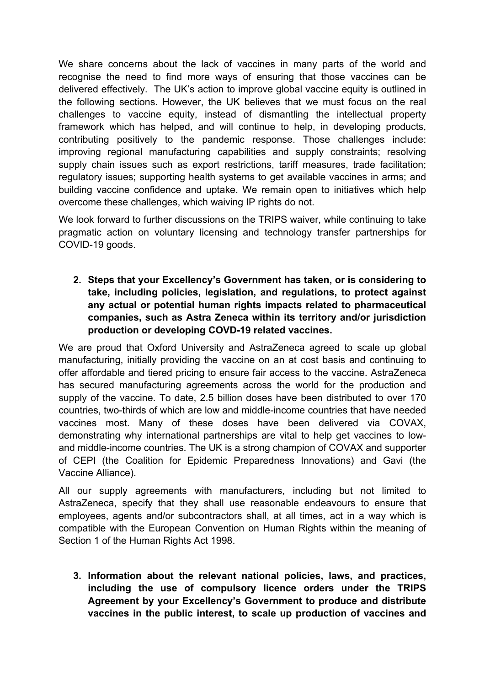We share concerns about the lack of vaccines in many parts of the world and recognise the need to find more ways of ensuring that those vaccines can be delivered effectively. The UK'<sup>s</sup> action to improve global vaccine equity is outlined in the following sections. However, the UK believes that we must focus on the real challenges to vaccine equity, instead of dismantling the intellectual property framework which has helped, and will continue to help, in developing products, contributing positively to the pandemic response. Those challenges include: improving regional manufacturing capabilities and supply constraints; resolving supply chain issues such as export restrictions, tariff measures, trade facilitation; regulatory issues; supporting health systems to get available vaccines in arms; and building vaccine confidence and uptake. We remain open to initiatives which help overcome these challenges, which waiving IP rights do not.

We look forward to further discussions on the TRIPS waiver, while continuing to take pragmatic action on voluntary licensing and technology transfer partnerships for COVID-19 goods.

**2. Steps that your Excellency'<sup>s</sup> Government has taken, or is considering to take, including policies, legislation, and regulations, to protect against any actual or potential human rights impacts related to pharmaceutical companies, such as Astra Zeneca within its territory and/or jurisdiction production or developing COVD-19 related vaccines.**

We are proud that Oxford University and AstraZeneca agreed to scale up global manufacturing, initially providing the vaccine on an at cost basis and continuing to offer affordable and tiered pricing to ensure fair access to the vaccine. AstraZeneca has secured manufacturing agreements across the world for the production and supply of the vaccine. To date, 2.5 billion doses have been distributed to over 170 countries, two-thirds of which are low and middle-income countries that have needed vaccines most. Many of these doses have been delivered via COVAX, demonstrating why international partnerships are vital to help get vaccines to lowand middle-income countries. The UK is <sup>a</sup> strong champion of COVAX and supporter of CEPI (the Coalition for Epidemic Preparedness Innovations) and Gavi (the Vaccine Alliance).

All our supply agreements with manufacturers, including but not limited to AstraZeneca, specify that they shall use reasonable endeavours to ensure that employees, agents and/or subcontractors shall, at all times, act in <sup>a</sup> way which is compatible with the European Convention on Human Rights within the meaning of Section 1 of the Human Rights Act 1998.

**3. Information about the relevant national policies, laws, and practices, including the use of compulsory licence orders under the TRIPS Agreement by your Excellency'<sup>s</sup> Government to produce and distribute vaccines in the public interest, to scale up production of vaccines and**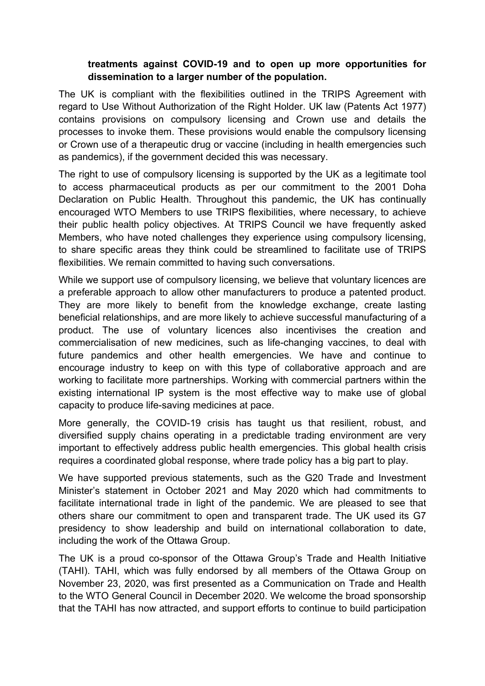## **treatments against COVID-19 and to open up more opportunities for dissemination to <sup>a</sup> larger number of the population.**

The UK is compliant with the flexibilities outlined in the TRIPS Agreement with regard to Use Without Authorization of the Right Holder. UK law (Patents Act 1977) contains provisions on compulsory licensing and Crown use and details the processes to invoke them. These provisions would enable the compulsory licensing or Crown use of <sup>a</sup> therapeutic drug or vaccine (including in health emergencies such as pandemics), if the government decided this was necessary.

The right to use of compulsory licensing is supported by the UK as <sup>a</sup> legitimate tool to access pharmaceutical products as per our commitment to the 2001 Doha Declaration on Public Health. Throughout this pandemic, the UK has continually encouraged WTO Members to use TRIPS flexibilities, where necessary, to achieve their public health policy objectives. At TRIPS Council we have frequently asked Members, who have noted challenges they experience using compulsory licensing, to share specific areas they think could be streamlined to facilitate use of TRIPS flexibilities. We remain committed to having such conversations.

While we support use of compulsory licensing, we believe that voluntary licences are <sup>a</sup> preferable approach to allow other manufacturers to produce <sup>a</sup> patented product. They are more likely to benefit from the knowledge exchange, create lasting beneficial relationships, and are more likely to achieve successful manufacturing of <sup>a</sup> product. The use of voluntary licences also incentivises the creation and commercialisation of new medicines, such as life-changing vaccines, to deal with future pandemics and other health emergencies. We have and continue to encourage industry to keep on with this type of collaborative approach and are working to facilitate more partnerships. Working with commercial partners within the existing international IP system is the most effective way to make use of global capacity to produce life-saving medicines at pace.

More generally, the COVID-19 crisis has taught us that resilient, robust, and diversified supply chains operating in <sup>a</sup> predictable trading environment are very important to effectively address public health emergencies. This global health crisis requires <sup>a</sup> coordinated global response, where trade policy has <sup>a</sup> big part to play.

We have supported previous statements, such as the G20 Trade and Investment Minister'<sup>s</sup> statement in October 2021 and May 2020 which had commitments to facilitate international trade in light of the pandemic. We are pleased to see that others share our commitment to open and transparent trade. The UK used its G7 presidency to show leadership and build on international collaboration to date, including the work of the Ottawa Group.

The UK is <sup>a</sup> proud co-sponsor of the Ottawa Group'<sup>s</sup> Trade and Health Initiative (TAHI). TAHI, which was fully endorsed by all members of the Ottawa Group on November 23, 2020, was first presented as <sup>a</sup> Communication on Trade and Health to the WTO General Council in December 2020. We welcome the broad sponsorship that the TAHI has now attracted, and support efforts to continue to build participation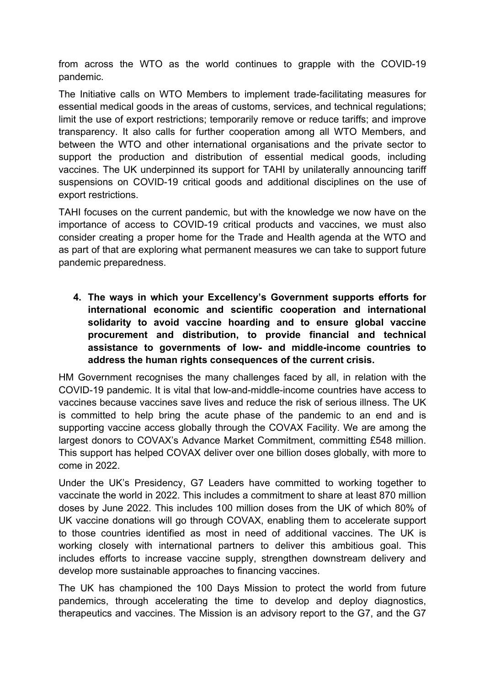from across the WTO as the world continues to grapple with the COVID-19 pandemic.

The Initiative calls on WTO Members to implement trade-facilitating measures for essential medical goods in the areas of customs, services, and technical regulations; limit the use of export restrictions; temporarily remove or reduce tariffs; and improve transparency. It also calls for further cooperation among all WTO Members, and between the WTO and other international organisations and the private sector to support the production and distribution of essential medical goods, including vaccines. The UK underpinned its support for TAHI by unilaterally announcing tariff suspensions on COVID-19 critical goods and additional disciplines on the use of export restrictions.

TAHI focuses on the current pandemic, but with the knowledge we now have on the importance of access to COVID-19 critical products and vaccines, we must also consider creating <sup>a</sup> proper home for the Trade and Health agenda at the WTO and as part of that are exploring what permanent measures we can take to support future pandemic preparedness.

**4. The ways in which your Excellency'<sup>s</sup> Government supports efforts for international economic and scientific cooperation and international solidarity to avoid vaccine hoarding and to ensure global vaccine procurement and distribution, to provide financial and technical assistance to governments of low- and middle-income countries to address the human rights consequences of the current crisis.**

HM Government recognises the many challenges faced by all, in relation with the COVID-19 pandemic. It is vital that low-and-middle-income countries have access to vaccines because vaccines save lives and reduce the risk of serious illness. The UK is committed to help bring the acute phase of the pandemic to an end and is supporting vaccine access globally through the COVAX Facility. We are among the largest donors to COVAX'<sup>s</sup> Advance Market Commitment, committing £548 million. This support has helped COVAX deliver over one billion doses globally, with more to come in 2022.

Under the UK'<sup>s</sup> Presidency, G7 Leaders have committed to working together to vaccinate the world in 2022. This includes a commitment to share at least 870 million doses by June 2022. This includes 100 million doses from the UK of which 80% of UK vaccine donations will go through COVAX, enabling them to accelerate support to those countries identified as most in need of additional vaccines. The UK is working closely with international partners to deliver this ambitious goal. This includes efforts to increase vaccine supply, strengthen downstream delivery and develop more sustainable approaches to financing vaccines.

The UK has championed the 100 Days Mission to protect the world from future pandemics, through accelerating the time to develop and deploy diagnostics, therapeutics and vaccines. The Mission is an advisory report to the G7, and the G7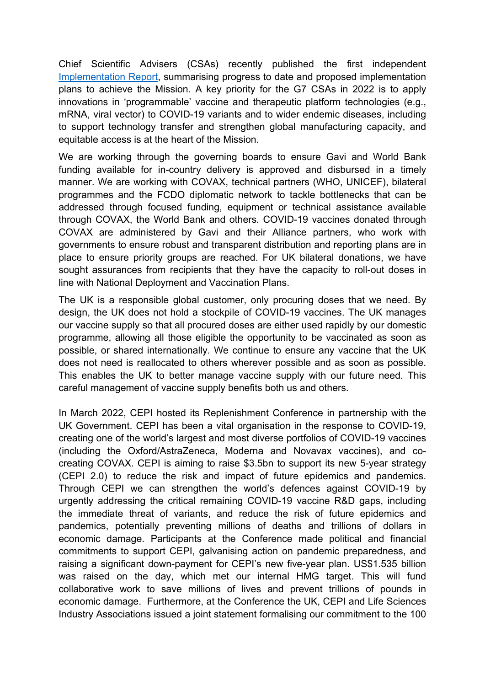Chief Scientific Advisers (CSAs) recently published the first independent [Implementation](https://www.gov.uk/government/publications/100-days-mission-first-implementation-report) Report, summarising progress to date and proposed implementation plans to achieve the Mission. A key priority for the G7 CSAs in 2022 is to apply innovations in 'programmable' vaccine and therapeutic platform technologies (e.g., mRNA, viral vector) to COVID-19 variants and to wider endemic diseases, including to support technology transfer and strengthen global manufacturing capacity, and equitable access is at the heart of the Mission.

We are working through the governing boards to ensure Gavi and World Bank funding available for in-country delivery is approved and disbursed in <sup>a</sup> timely manner. We are working with COVAX, technical partners (WHO, UNICEF), bilateral programmes and the FCDO diplomatic network to tackle bottlenecks that can be addressed through focused funding, equipment or technical assistance available through COVAX, the World Bank and others. COVID-19 vaccines donated through COVAX are administered by Gavi and their Alliance partners, who work with governments to ensure robust and transparent distribution and reporting plans are in place to ensure priority groups are reached. For UK bilateral donations, we have sought assurances from recipients that they have the capacity to roll-out doses in line with National Deployment and Vaccination Plans.

The UK is <sup>a</sup> responsible global customer, only procuring doses that we need. By design, the UK does not hold <sup>a</sup> stockpile of COVID-19 vaccines. The UK manages our vaccine supply so that all procured doses are either used rapidly by our domestic programme, allowing all those eligible the opportunity to be vaccinated as soon as possible, or shared internationally. We continue to ensure any vaccine that the UK does not need is reallocated to others wherever possible and as soon as possible. This enables the UK to better manage vaccine supply with our future need. This careful management of vaccine supply benefits both us and others.

In March 2022, CEPI hosted its Replenishment Conference in partnership with the UK Government. CEPI has been <sup>a</sup> vital organisation in the response to COVID-19, creating one of the world'<sup>s</sup> largest and most diverse portfolios of COVID-19 vaccines (including the Oxford/AstraZeneca, Moderna and Novavax vaccines), and cocreating COVAX. CEPI is aiming to raise \$3.5bn to support its new 5-year strategy (CEPI 2.0) to reduce the risk and impact of future epidemics and pandemics. Through CEPI we can strengthen the world'<sup>s</sup> defences against COVID-19 by urgently addressing the critical remaining COVID-19 vaccine R&D gaps, including the immediate threat of variants, and reduce the risk of future epidemics and pandemics, potentially preventing millions of deaths and trillions of dollars in economic damage. Participants at the Conference made political and financial commitments to support CEPI, galvanising action on pandemic preparedness, and raising <sup>a</sup> significant down-payment for CEPI'<sup>s</sup> new five-year plan. US\$1.535 billion was raised on the day, which met our internal HMG target. This will fund collaborative work to save millions of lives and prevent trillions of pounds in economic damage. Furthermore, at the Conference the UK, CEPI and Life Sciences Industry Associations issued <sup>a</sup> joint statement formalising our commitment to the 100